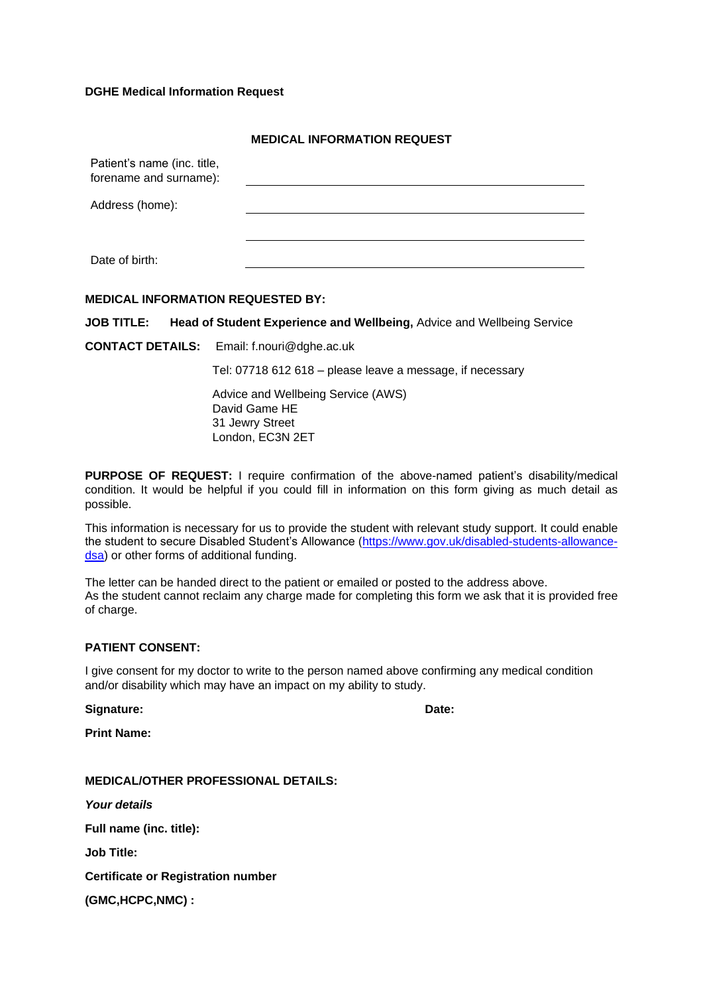### **DGHE Medical Information Request**

|                                                       | <b>MEDICAL INFORMATION REQUEST</b> |
|-------------------------------------------------------|------------------------------------|
| Patient's name (inc. title,<br>forename and surname): |                                    |
| Address (home):                                       |                                    |
|                                                       |                                    |
| Date of birth:                                        |                                    |
|                                                       |                                    |

### **MEDICAL INFORMATION REQUESTED BY:**

**JOB TITLE: Head of Student Experience and Wellbeing,** Advice and Wellbeing Service

**CONTACT DETAILS:** Email: f.nouri@dghe.ac.uk

Tel: 07718 612 618 – please leave a message, if necessary

Advice and Wellbeing Service (AWS) David Game HE 31 Jewry Street London, EC3N 2ET

**PURPOSE OF REQUEST:** I require confirmation of the above-named patient's disability/medical condition. It would be helpful if you could fill in information on this form giving as much detail as possible.

This information is necessary for us to provide the student with relevant study support. It could enable the student to secure Disabled Student's Allowance [\(https://www.gov.uk/disabled-students-allowance](https://www.gov.uk/disabled-students-allowance-dsa)[dsa\)](https://www.gov.uk/disabled-students-allowance-dsa) or other forms of additional funding.

The letter can be handed direct to the patient or emailed or posted to the address above. As the student cannot reclaim any charge made for completing this form we ask that it is provided free of charge.

#### **PATIENT CONSENT:**

I give consent for my doctor to write to the person named above confirming any medical condition and/or disability which may have an impact on my ability to study.

Signature: **Date:** Date: **Date:** Date: **Date: Date: Date: Date: Date: Date: Date: Date: Date: Date: Date: Date: Date: Date: Date: Date: Date: Date: Date: Date: Date: Date: Date:** 

**Print Name:** 

**MEDICAL/OTHER PROFESSIONAL DETAILS:** *Your details* **Full name (inc. title): Job Title: Certificate or Registration number**

**(GMC,HCPC,NMC) :**